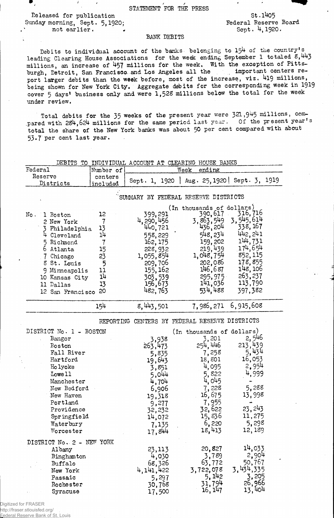STATEMENT FOR THE PRESS

Released for publication Sunday morning, Sept. 5,1920; not earlier.

/

St.1405 Federal Reserve Board Sept. 4,1920.

## BANK DEBITS

Debits to individual account of the banks belonging to  $15^{\text{4}}$  of the country's leading Clearing House Associations for the week ending September 1 totaled 8,443 millions, an increase of 457 millions for the week. With the exception of Pittsburgh, Detroit, San Francisco and Los Angeles all the important centers report larger debits than the week before, most of the increase, viz. 419 millions, being shown for New York City. Aggregate debits for the corresponding week in 1919 cover 5 days' business only and were 1,528 millions below the total for the week under review.

Total debits for the 35 weeks of the present year were 321,945 millions, com-.pared with 284,624 millions for the same period last year. Of the present year's total the share of the New York banks was about 50 per cent compared with about 53.7 per cent last year.

| DEBITS TO INDIVIDUAL ACCOUNT AT CLEARING HOUSE BANKS                                                                                                                                                             |                                                  |                                                                                                                                                                                     |                                                                                                                                                                |                                                                                                                  |  |
|------------------------------------------------------------------------------------------------------------------------------------------------------------------------------------------------------------------|--------------------------------------------------|-------------------------------------------------------------------------------------------------------------------------------------------------------------------------------------|----------------------------------------------------------------------------------------------------------------------------------------------------------------|------------------------------------------------------------------------------------------------------------------|--|
| Federal                                                                                                                                                                                                          | Number of                                        |                                                                                                                                                                                     | Week<br>ending                                                                                                                                                 |                                                                                                                  |  |
| Reserve                                                                                                                                                                                                          | centers                                          |                                                                                                                                                                                     |                                                                                                                                                                |                                                                                                                  |  |
| Districts                                                                                                                                                                                                        | <u>included</u>                                  |                                                                                                                                                                                     |                                                                                                                                                                | Sept. 1, 1920   Aug. 25, 1920   Sept. 3, 1919                                                                    |  |
| No.<br>1 Boston<br>2 New York<br>3 Philadelphia                                                                                                                                                                  | 12<br>$\overline{7}$<br>13                       | SUMMARY BY FEDERAL RESERVE DISTRICTS<br>399,291<br>4, 290, 456<br>440,721                                                                                                           | (In thousands of dollars)<br>390, 617<br>3,863,549<br>436,204                                                                                                  | 316,716<br>3,545,614<br>338, 167                                                                                 |  |
| 4 Cleveland<br>5 Richmond<br>6<br>Atlanta<br>7 Chicago<br>8 St. Louis<br>9 Minneapolis<br>10 Kansas City<br>11 Dallas<br>12 San Francisco                                                                        | 14<br>7<br>15<br>23<br>5<br>11<br>14<br>13<br>20 | 558,229<br>162, 175<br>228,932<br>1,055,854<br>209,706<br>155, 162<br>303,539<br>156,673<br>482, 763                                                                                | 548, 234<br>159,202<br>$219,439$<br>1,048,754<br>202,086<br>146,687<br>295,975<br>141,036<br>534,488                                                           | 442, 241<br>144,731<br>174,654<br>852,115<br>178,855<br>148, 106<br>263,237<br>113,790<br>397,382                |  |
|                                                                                                                                                                                                                  | 15 <sup>1</sup>                                  | 8,443,501                                                                                                                                                                           | 7,986,271 6,915,608                                                                                                                                            |                                                                                                                  |  |
| DISTRICT No. 1 - BOSTON<br>Bangor<br><b>Boston</b><br>Fall River<br>Hartford<br>Ho lyoke<br>Lowe 11<br>Manchester<br>New Bedford<br>New Haven<br>Portland<br>Providence<br>Springfield<br>Waterbury<br>Worcester |                                                  | REPORTING CENTERS BY FEDERAL RESERVE DISTRICTS<br>3,938<br>263,473<br>5,835<br>19,643<br>3,851<br>5,044<br>4,704<br>6,906<br>19,318<br>9,277<br>32,232<br>14,072<br>7,135<br>17,844 | (In thousands of dollars)<br>3,201<br>254,446<br>7,258<br>18,801<br>4,095<br>5,822<br>4,045<br>7,228<br>16,675<br>7,955<br>32,622<br>15,836<br>6,220<br>18,413 | 2,546<br>213,439<br>5,434<br>16,053<br>2,954<br>4,999<br>5,288<br>13,998<br>23, 243<br>11,275<br>5,298<br>12,189 |  |
| DISTRICT No. 2 - NEW YORK<br>Albany<br>Binghamton<br>Buffalo<br>New York<br>Passaic<br>Rochester<br>Syracuse                                                                                                     |                                                  | 23,113<br>4,030<br>68,326<br>4,141,422<br>5,297<br>30,768<br>17,500                                                                                                                 | 20,827<br>3,789<br>63,772<br>3,722,078<br>5, 142<br>31,794<br>16, 147                                                                                          | 14,033<br>2,904<br>50,767<br>3, 434, 335<br>3,205<br>26,966<br>13,404                                            |  |

Digitized for FRASER http://fraser.stlouisfed.org/

Federal Reserve Bank of St. Louis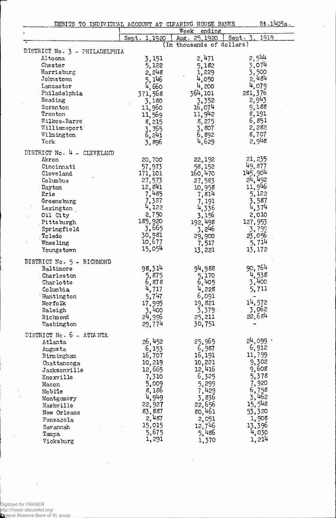|  | DEBITS TO INDIVIDUAL ACCOUNT AT CLEARING HOUSE BANKS<br>treated to the first first your systems of the contraction and contract and the second contract and and contract and contract and contract and contract and contract and contract and contract and the first of the state of t |  |                                 | St.1405a. |
|--|----------------------------------------------------------------------------------------------------------------------------------------------------------------------------------------------------------------------------------------------------------------------------------------|--|---------------------------------|-----------|
|  |                                                                                                                                                                                                                                                                                        |  | $W \circ \circ V$ and $m \circ$ |           |

|                               |                       | week<br>ending            |                    |  |  |  |  |
|-------------------------------|-----------------------|---------------------------|--------------------|--|--|--|--|
|                               | Sept. 1, 1920         | Aug. 25, 1920             | 1919<br>Sept,      |  |  |  |  |
|                               |                       | (In thousands of dollars) |                    |  |  |  |  |
| DISTRICT No. 3 - PHILADELPHIA |                       |                           |                    |  |  |  |  |
| Altoona                       | 3,151                 | 2,471                     | 2,544              |  |  |  |  |
| Chester                       | 5,122                 | 5,182                     | 3,074              |  |  |  |  |
| Harrisburg                    | 2,248                 | 1,229                     | 3,500              |  |  |  |  |
| Johnstown                     | 5, 146                | 4,050                     | 2,484              |  |  |  |  |
| Lancaster                     | 4,660                 | 4,200                     | 4,079              |  |  |  |  |
| Philadelphia                  |                       |                           | 281, 376           |  |  |  |  |
|                               | 371,568               | 364, 101                  |                    |  |  |  |  |
| Reading                       | 3,180                 | 3,352                     | 2,943              |  |  |  |  |
| Scranton                      | 11,960                | 16,074                    | 9,188              |  |  |  |  |
| Trenton                       | 11,569                | 11,942                    | 8,191              |  |  |  |  |
| Wilkes-Barre                  | 8,215                 | 8,275                     | 6,851              |  |  |  |  |
| Williamsport'                 | 3,765                 | 3,807                     | 2,282              |  |  |  |  |
| Wilmington                    | 6,241                 | 6,892                     | 8,707              |  |  |  |  |
| York                          | 3,896                 | 4,629                     | 2,948              |  |  |  |  |
|                               |                       |                           |                    |  |  |  |  |
| DISTRICT No. 4 - CLEVELAND    |                       |                           |                    |  |  |  |  |
| Akron                         | 20,700                | 22,192                    | 21, 235            |  |  |  |  |
| Cincinnati                    | 57,973                | 58,152                    | 49,877             |  |  |  |  |
| Cleveland                     | 171, 101              | 160,470                   | 145,904            |  |  |  |  |
| Columbus                      |                       |                           | 24,492             |  |  |  |  |
|                               | 27,573                | 27,583                    |                    |  |  |  |  |
| Dayton                        | 12,841                | 10,958                    | 11,946             |  |  |  |  |
| Erie                          | 7,485                 | 7,814                     | 5,122              |  |  |  |  |
| Greensburg                    | 7,387                 | 7, 191                    | 3,587              |  |  |  |  |
| Lexington                     | 4,122                 | 4,336                     | 4,374              |  |  |  |  |
| Oil City                      | 2,750                 | 3,156                     | 2,010              |  |  |  |  |
| Pittsburgh                    | 185,920               | 192,498                   | 127,953            |  |  |  |  |
| Springfield                   | 3,665                 | 3,246                     | 3,799              |  |  |  |  |
| Toledo                        | 30,981                | 29,900                    | 23,056             |  |  |  |  |
|                               | 10,677                |                           | 5,714              |  |  |  |  |
| Whee ling                     | 15,054                | 7,517                     |                    |  |  |  |  |
| Youngstown                    |                       | 13,221                    | 13,172             |  |  |  |  |
|                               |                       |                           |                    |  |  |  |  |
| DISTRICT No. 5 - RICHMOND     |                       |                           | 90,764             |  |  |  |  |
| Baltimore                     | 98,314                | 94,988                    |                    |  |  |  |  |
| Charleston                    | 5,875                 | 5,170                     | 4,538              |  |  |  |  |
| Charlotte                     | 6,878                 | 6,405                     | 3,400              |  |  |  |  |
| Columbia                      | 4,717                 | 4,228                     | 5,711              |  |  |  |  |
| Huntington                    | 5,747                 | 6,091                     |                    |  |  |  |  |
| Norfolk                       | 17,995                | 19,821                    | 14,572             |  |  |  |  |
| Raleigh                       | 3,400                 | 3,379                     | 3,062              |  |  |  |  |
| Richmond                      | 24,996                | 25,211                    | 22,684             |  |  |  |  |
| Washington                    | 29,774                | 30,751                    |                    |  |  |  |  |
|                               |                       |                           |                    |  |  |  |  |
| DISTRICT No. 6 - ATIANTA      |                       |                           |                    |  |  |  |  |
| Atlanta                       | 26,452                | 25,965                    | 24,099 ·           |  |  |  |  |
| Augusta                       |                       | 6,987                     | 6,912              |  |  |  |  |
|                               | $6, 153$<br>$16, 707$ | 16,191                    | 11,799             |  |  |  |  |
| Birmingham                    |                       |                           | 9,302              |  |  |  |  |
| Chattanooga                   | 10,219                | 10,221                    |                    |  |  |  |  |
| Jacksonville                  | 12,665<br>7,310       | 12,416                    | 9,608              |  |  |  |  |
| Knoxville                     |                       | 6,325                     | 5,378              |  |  |  |  |
| Macon                         | 5,009                 | 5,299                     | 7,920              |  |  |  |  |
| Mobile                        | 8,186                 | 7,429                     |                    |  |  |  |  |
| Montgomery                    | 4,949                 | 3,836                     | $6,758$<br>$3,462$ |  |  |  |  |
| Nashville                     | 22,927                | 22,656                    | 15,548             |  |  |  |  |
|                               | 83,887                | 80,461                    | 53,320             |  |  |  |  |
| New Orleans                   |                       |                           |                    |  |  |  |  |
| Pensacola                     | 2,487                 | 2,051                     | 1,908              |  |  |  |  |
| Savannah                      | 15,015                | 12,746                    | 13,396             |  |  |  |  |
| Tampa                         | 5,675                 | 5,486                     | 4,030              |  |  |  |  |
| Vicksburg                     | 1,291                 | 1,370                     | 1,214              |  |  |  |  |
|                               |                       |                           |                    |  |  |  |  |

 $\ddot{\phantom{0}}$ 

÷

 $\bar{z}$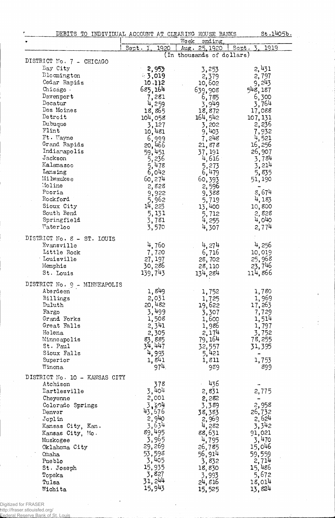| DEBITS TO INDIVIDUAL ACCOUNT AT CLEARING HOUSE BANKS |                                |                           | St.1405b.           |
|------------------------------------------------------|--------------------------------|---------------------------|---------------------|
|                                                      |                                | Week<br>ending.           |                     |
|                                                      | Sept. I                        | 1920<br>Aug. 25.1920      | Sept.<br>1919       |
|                                                      |                                | (In thousands of dollars) |                     |
| DISTRICT No. 7 - CHICAGO                             |                                |                           |                     |
| <b><i>Bay</i></b> City                               | 2,953                          | 3,253                     | 2,431               |
| Blocmington                                          | $-3,019$                       | 2,379                     | 2,797               |
| Cedar Rapids                                         | 10.112                         | 10,602                    | 9,243               |
| Chicago.                                             | 685,164                        | 639,908                   | 548, 187            |
| Davenport                                            | 7,281                          | 6,785                     | 6,300               |
| Decatur                                              | 4,259                          | 3,949                     | 3,764               |
| Des Moines                                           | 18,865                         | 18,872                    | 17,088              |
| Detroit                                              | 104,058                        | 164,542                   | 107, 131            |
| Dubuque                                              | 3,127                          | 3,202                     | 2,236               |
| Flint                                                | 10,481                         | 9,403                     | 7,932               |
| Ft. Wayne                                            | 6,999                          | 7,248                     | $\frac{4}{5}$ , 521 |
| Grand Rapids                                         |                                | 21,878                    | 16,256              |
| Indianapolis                                         | 20,466<br>59,451               | 37, 191                   | 26,907              |
| Jackson                                              | 5,236                          | 4,616                     | 3,784               |
| Kalamazoo                                            | 5,<br>478                      | 5,273                     | 3,214               |
| Lansing                                              | 6,042                          | 6,479                     | 5,835               |
| Milwaukee                                            | 60,274                         | 60,393                    | 51, 190             |
| Moline                                               | 2,828                          | 2,596                     |                     |
| Peoria                                               | 9,922                          | 9,388                     | 5,674               |
| Rockford                                             | 5,962                          | 5,719                     | 4,183               |
| Sioux City                                           | 14, 223                        | 13,400                    | 10,800              |
| South Bend                                           | 5,131                          | 5,712                     | 2,828               |
| Springfield                                          | 3,781                          | 4,255                     | 4,040               |
| Vaterloo                                             | 3,570                          | 4,307                     | 2,774               |
|                                                      |                                |                           |                     |
| DISTRICT No. 8 - ST. LOUIS                           |                                |                           |                     |
| Evansville                                           | 4,760                          | 4,274                     | 4,256               |
| Little Rock                                          | 7,720                          | 6,716                     | 10,019              |
| Louisville                                           | 27, 197                        | 28,702                    | 25,965              |
| Memphis                                              | 30,286                         | 28,110                    | 23, 746             |
| St. Louis                                            | 139,743                        | 134.284                   | 114,866             |
| DISTRICT No. 9 - MINNEAPOLIS                         |                                |                           |                     |
| Aberdeen                                             | 1,849                          | 1,752                     | 1,780               |
| Billings                                             |                                | 1,725                     | 1,969               |
| Duluth                                               | $2,031$<br>$20,482$<br>$3,499$ | 19,622                    | 17,263              |
| Fargo                                                |                                | 3,307                     | 7,729               |
| Grand Forks                                          | 1,508                          | 1,600                     | 1,514               |
| Great Falls                                          | 2,341                          | 1,986                     | 1,797               |
| Helena                                               | 2,305                          | 2,174                     | 3,752               |
| Minneapolis                                          |                                | 79, 164                   | 78,255              |
| St. Paul                                             | 83, 885<br>34, 447             | 32,557                    | 31,395              |
| Sioux Falls                                          | 4,993                          | 5,421                     |                     |
| Superior                                             | 1,841                          | 1,811                     | 1,753               |
| Winona                                               | 974.                           | 989                       | 899                 |
|                                                      |                                |                           |                     |
| DISTRICT No. 10 - KANSAS CITY                        |                                |                           |                     |
| Atchison                                             | 378                            | 436                       |                     |
| Dartlesville                                         | 3,404                          | 2,831                     | 2,775               |
| Cheyenne                                             | 2,001                          | 2,282                     |                     |
| Colorado Springs                                     | 3,204                          | 3,389                     | 2,958               |
| Denver                                               | 43,676                         | 38,383                    | 26,732              |
| Joplin                                               | 2,940                          | 2,969                     | 2,624               |
| Kansas City, Kan.                                    | 3,<br>634                      | 4,282                     | 3,342               |
| Kansas City, Mo.                                     | 89,495                         | 88,631                    | 91,021              |
| Muskogee                                             | 3,965                          | 4,795                     | 3,470               |
| Oklahoma City                                        | 29,269                         | 26,785                    | 15,046              |
| Omaha                                                | 53,598                         | 56,914                    | 59,559              |
| Pueblo                                               | 3,405                          | 3,832                     | 2,714               |
| St. Joseph                                           | 15,935                         | 18,830                    | 15,486              |
| Topeka                                               | 3,827                          | 3,993                     | 5,672               |
| Tulsa                                                | 31, 244                        | 24,816                    | 18,014              |
| Wichita                                              | 15,943                         | 15,525                    | 13,824              |

 $\bar{\mathcal{A}}$ 

Digitized for FRASER

http://fraser.stlouisfed.org/ Federal Reserve Bank of St. Louis